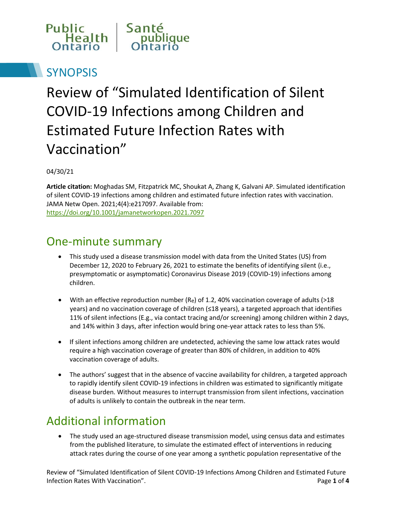

# **SYNOPSIS**

# Review of "Simulated Identification of Silent COVID-19 Infections among Children and Estimated Future Infection Rates with Vaccination"

04/30/21

**Article citation:** Moghadas SM, Fitzpatrick MC, Shoukat A, Zhang K, Galvani AP. Simulated identification of silent COVID-19 infections among children and estimated future infection rates with vaccination. JAMA Netw Open. 2021;4(4):e217097. Available from: <https://doi.org/10.1001/jamanetworkopen.2021.7097>

### One-minute summary

- This study used a disease transmission model with data from the United States (US) from December 12, 2020 to February 26, 2021 to estimate the benefits of identifying silent (i.e., presymptomatic or asymptomatic) Coronavirus Disease 2019 (COVID-19) infections among children.
- With an effective reproduction number  $(R_e)$  of 1.2, 40% vaccination coverage of adults (>18 years) and no vaccination coverage of children (≤18 years), a targeted approach that identifies 11% of silent infections (E.g., via contact tracing and/or screening) among children within 2 days, and 14% within 3 days, after infection would bring one-year attack rates to less than 5%.
- If silent infections among children are undetected, achieving the same low attack rates would require a high vaccination coverage of greater than 80% of children, in addition to 40% vaccination coverage of adults.
- The authors' suggest that in the absence of vaccine availability for children, a targeted approach to rapidly identify silent COVID-19 infections in children was estimated to significantly mitigate disease burden. Without measures to interrupt transmission from silent infections, vaccination of adults is unlikely to contain the outbreak in the near term.

## Additional information

• The study used an age-structured disease transmission model, using census data and estimates from the published literature, to simulate the estimated effect of interventions in reducing attack rates during the course of one year among a synthetic population representative of the

Review of "Simulated Identification of Silent COVID-19 Infections Among Children and Estimated Future Infection Rates With Vaccination". Page **1** of **4**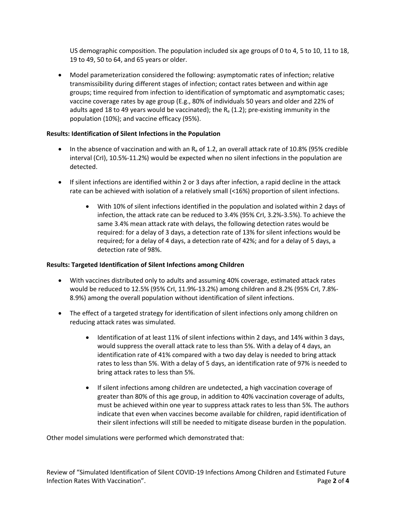US demographic composition. The population included six age groups of 0 to 4, 5 to 10, 11 to 18, 19 to 49, 50 to 64, and 65 years or older.

 Model parameterization considered the following: asymptomatic rates of infection; relative transmissibility during different stages of infection; contact rates between and within age groups; time required from infection to identification of symptomatic and asymptomatic cases; vaccine coverage rates by age group (E.g., 80% of individuals 50 years and older and 22% of adults aged 18 to 49 years would be vaccinated); the  $R_e$  (1.2); pre-existing immunity in the population (10%); and vaccine efficacy (95%).

#### **Results: Identification of Silent Infections in the Population**

- In the absence of vaccination and with an  $R_e$  of 1.2, an overall attack rate of 10.8% (95% credible interval (CrI), 10.5%-11.2%) would be expected when no silent infections in the population are detected.
- If silent infections are identified within 2 or 3 days after infection, a rapid decline in the attack rate can be achieved with isolation of a relatively small (<16%) proportion of silent infections.
	- With 10% of silent infections identified in the population and isolated within 2 days of infection, the attack rate can be reduced to 3.4% (95% CrI, 3.2%-3.5%). To achieve the same 3.4% mean attack rate with delays, the following detection rates would be required: for a delay of 3 days, a detection rate of 13% for silent infections would be required; for a delay of 4 days, a detection rate of 42%; and for a delay of 5 days, a detection rate of 98%.

#### **Results: Targeted Identification of Silent Infections among Children**

- With vaccines distributed only to adults and assuming 40% coverage, estimated attack rates would be reduced to 12.5% (95% CrI, 11.9%-13.2%) among children and 8.2% (95% CrI, 7.8%- 8.9%) among the overall population without identification of silent infections.
- The effect of a targeted strategy for identification of silent infections only among children on reducing attack rates was simulated.
	- Identification of at least 11% of silent infections within 2 days, and 14% within 3 days, would suppress the overall attack rate to less than 5%. With a delay of 4 days, an identification rate of 41% compared with a two day delay is needed to bring attack rates to less than 5%. With a delay of 5 days, an identification rate of 97% is needed to bring attack rates to less than 5%.
	- If silent infections among children are undetected, a high vaccination coverage of greater than 80% of this age group, in addition to 40% vaccination coverage of adults, must be achieved within one year to suppress attack rates to less than 5%. The authors indicate that even when vaccines become available for children, rapid identification of their silent infections will still be needed to mitigate disease burden in the population.

Other model simulations were performed which demonstrated that: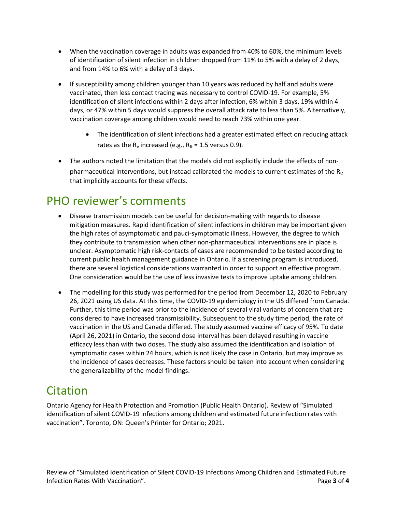- When the vaccination coverage in adults was expanded from 40% to 60%, the minimum levels of identification of silent infection in children dropped from 11% to 5% with a delay of 2 days, and from 14% to 6% with a delay of 3 days.
- If susceptibility among children younger than 10 years was reduced by half and adults were vaccinated, then less contact tracing was necessary to control COVID-19. For example, 5% identification of silent infections within 2 days after infection, 6% within 3 days, 19% within 4 days, or 47% within 5 days would suppress the overall attack rate to less than 5%. Alternatively, vaccination coverage among children would need to reach 73% within one year.
	- The identification of silent infections had a greater estimated effect on reducing attack rates as the  $R_e$  increased (e.g.,  $R_e = 1.5$  versus 0.9).
- The authors noted the limitation that the models did not explicitly include the effects of nonpharmaceutical interventions, but instead calibrated the models to current estimates of the Re that implicitly accounts for these effects.

# PHO reviewer's comments

- Disease transmission models can be useful for decision-making with regards to disease mitigation measures. Rapid identification of silent infections in children may be important given the high rates of asymptomatic and pauci-symptomatic illness. However, the degree to which they contribute to transmission when other non-pharmaceutical interventions are in place is unclear. Asymptomatic high risk-contacts of cases are recommended to be tested according to current public health management guidance in Ontario. If a screening program is introduced, there are several logistical considerations warranted in order to support an effective program. One consideration would be the use of less invasive tests to improve uptake among children.
- The modelling for this study was performed for the period from December 12, 2020 to February 26, 2021 using US data. At this time, the COVID-19 epidemiology in the US differed from Canada. Further, this time period was prior to the incidence of several viral variants of concern that are considered to have increased transmissibility. Subsequent to the study time period, the rate of vaccination in the US and Canada differed. The study assumed vaccine efficacy of 95%. To date (April 26, 2021) in Ontario, the second dose interval has been delayed resulting in vaccine efficacy less than with two doses. The study also assumed the identification and isolation of symptomatic cases within 24 hours, which is not likely the case in Ontario, but may improve as the incidence of cases decreases. These factors should be taken into account when considering the generalizability of the model findings.

## Citation

Ontario Agency for Health Protection and Promotion (Public Health Ontario). Review of "Simulated identification of silent COVID-19 infections among children and estimated future infection rates with vaccination". Toronto, ON: Queen's Printer for Ontario; 2021.